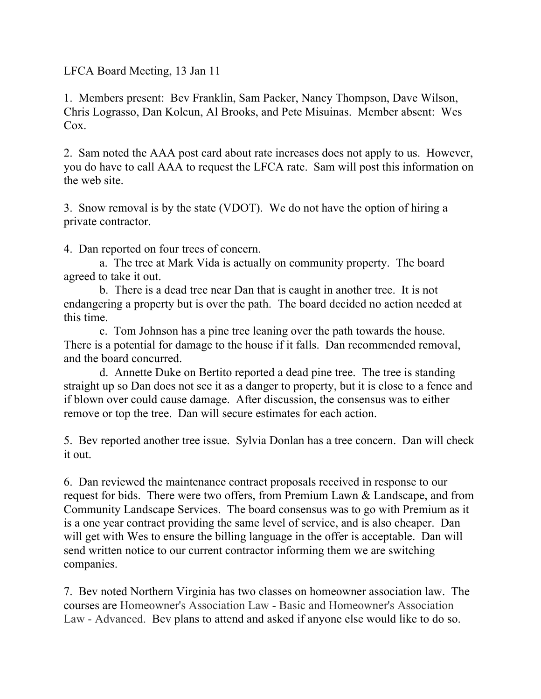LFCA Board Meeting, 13 Jan 11

1. Members present: Bev Franklin, Sam Packer, Nancy Thompson, Dave Wilson, Chris Lograsso, Dan Kolcun, Al Brooks, and Pete Misuinas. Member absent: Wes Cox.

2. Sam noted the AAA post card about rate increases does not apply to us. However, you do have to call AAA to request the LFCA rate. Sam will post this information on the web site.

3. Snow removal is by the state (VDOT). We do not have the option of hiring a private contractor.

4. Dan reported on four trees of concern.

 a. The tree at Mark Vida is actually on community property. The board agreed to take it out.

 b. There is a dead tree near Dan that is caught in another tree. It is not endangering a property but is over the path. The board decided no action needed at this time.

 c. Tom Johnson has a pine tree leaning over the path towards the house. There is a potential for damage to the house if it falls. Dan recommended removal, and the board concurred.

 d. Annette Duke on Bertito reported a dead pine tree. The tree is standing straight up so Dan does not see it as a danger to property, but it is close to a fence and if blown over could cause damage. After discussion, the consensus was to either remove or top the tree. Dan will secure estimates for each action.

5. Bev reported another tree issue. Sylvia Donlan has a tree concern. Dan will check it out.

6. Dan reviewed the maintenance contract proposals received in response to our request for bids. There were two offers, from Premium Lawn & Landscape, and from Community Landscape Services. The board consensus was to go with Premium as it is a one year contract providing the same level of service, and is also cheaper. Dan will get with Wes to ensure the billing language in the offer is acceptable. Dan will send written notice to our current contractor informing them we are switching companies.

7. Bev noted Northern Virginia has two classes on homeowner association law. The courses are Homeowner's Association Law - Basic and Homeowner's Association Law - Advanced. Bev plans to attend and asked if anyone else would like to do so.